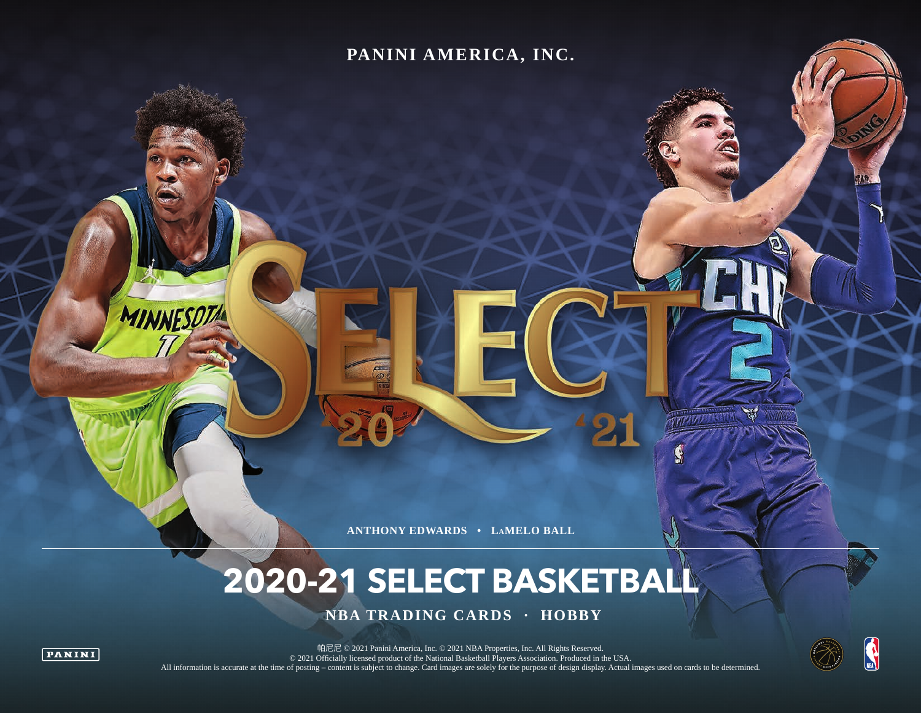### **PANINI AMERICA, INC.**

**ANTHONY EDWARDS • LAMELO BALL**

# **2020-21 SELECT BASKETBALL**

 **NBA TRADING CARDS · HOBBY**



MINNESOTA

帕尼尼 © 2021 Panini America, Inc. © 2021 NBA Properties, Inc. All Rights Reserved. © 2021 Officially licensed product of the National Basketball Players Association. Produced in the USA. All information is accurate at the time of posting – content is subject to change. Card images are solely for the purpose of design display. Actual images used on cards to be determined.

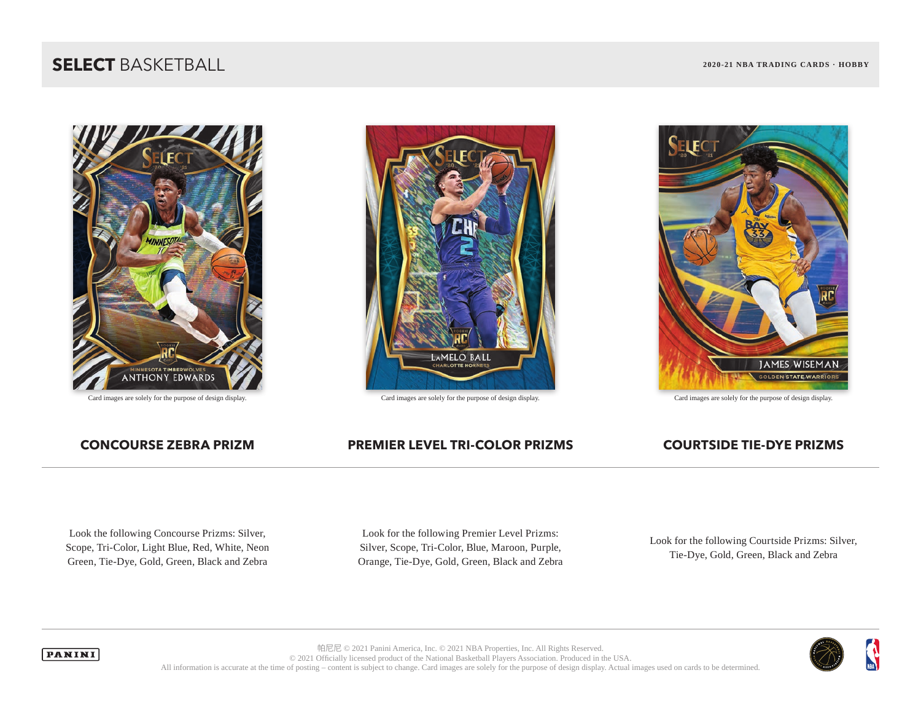### **SELECT** BASKETBALL **2020-21 NBA TRADING CARDS · HOBBY**





Card images are solely for the purpose of design display. Card images are solely for the purpose of design display. Card images are solely for the purpose of design display.



### **CONCOURSE ZEBRA PRIZM PREMIER LEVEL TRI-COLOR PRIZMS COURTSIDE TIE-DYE PRIZMS**

Look the following Concourse Prizms: Silver, Scope, Tri-Color, Light Blue, Red, White, Neon Green, Tie-Dye, Gold, Green, Black and Zebra

Look for the following Premier Level Prizms: Silver, Scope, Tri-Color, Blue, Maroon, Purple, Orange, Tie-Dye, Gold, Green, Black and Zebra

Look for the following Courtside Prizms: Silver, Tie-Dye, Gold, Green, Black and Zebra



帕尼尼 © 2021 Panini America, Inc. © 2021 NBA Properties, Inc. All Rights Reserved. © 2021 Officially licensed product of the National Basketball Players Association. Produced in the USA. All information is accurate at the time of posting – content is subject to change. Card images are solely for the purpose of design display. Actual images used on cards to be determined.

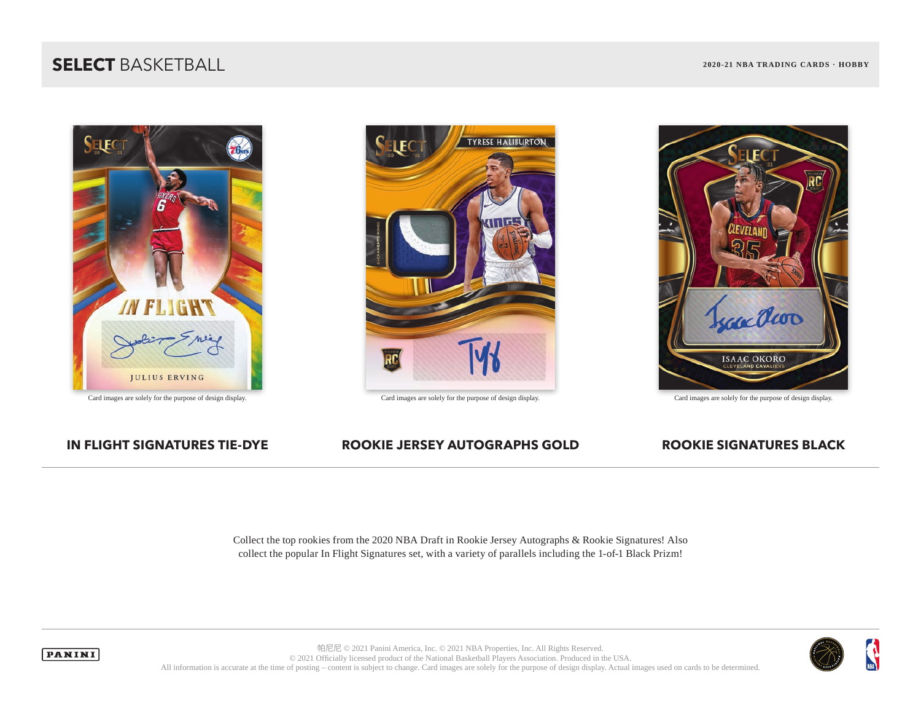### **SELECT** BASKETBALL **2020-21 NBA TRADING CARDS · HOBBY**





Card images are solely for the purpose of design display. Card images are solely for the purpose of design display. Card images are solely for the purpose of design display.



### **IN FLIGHT SIGNATURES TIE-DYE ROOKIE JERSEY AUTOGRAPHS GOLD ROOKIE SIGNATURES BLACK**

Collect the top rookies from the 2020 NBA Draft in Rookie Jersey Autographs & Rookie Signatures! Also collect the popular In Flight Signatures set, with a variety of parallels including the 1-of-1 Black Prizm!





帕尼尼 © 2021 Panini America, Inc. © 2021 NBA Properties, Inc. All Rights Reserved. © 2021 Officially licensed product of the National Basketball Players Association. Produced in the USA. All information is accurate at the time of posting – content is subject to change. Card images are solely for the purpose of design display. Actual images used on cards to be determined.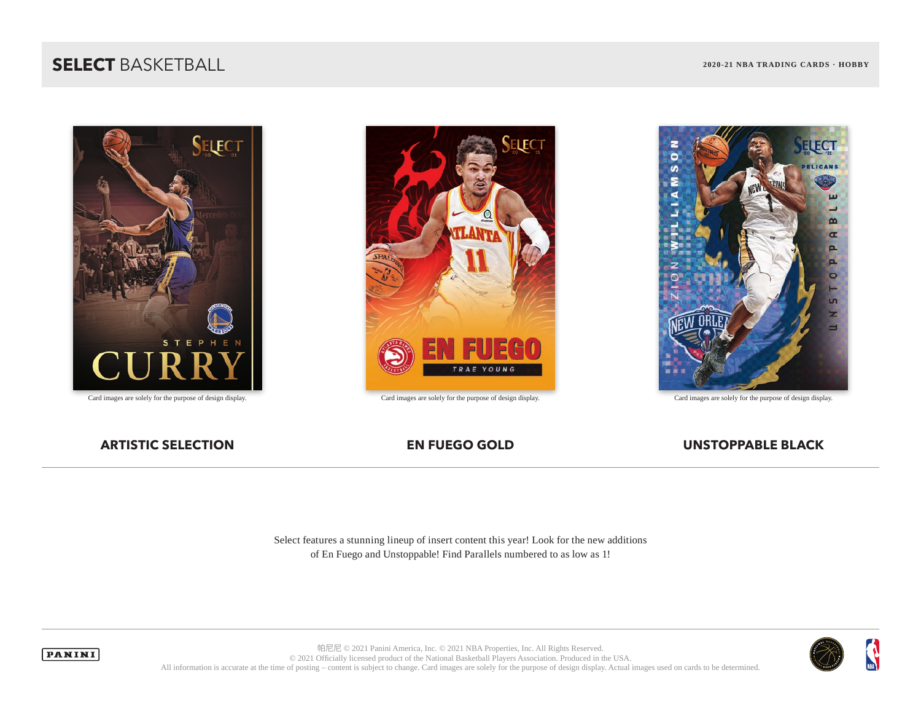### **SELECT** BASKETBALL **2020-21 NBA TRADING CARDS · HOBBY**





Card images are solely for the purpose of design display. Card images are solely for the purpose of design display. Card images are solely for the purpose of design display.



### **ARTISTIC SELECTION EN FUEGO GOLD UNSTOPPABLE BLACK**



Select features a stunning lineup of insert content this year! Look for the new additions of En Fuego and Unstoppable! Find Parallels numbered to as low as 1!





帕尼尼 © 2021 Panini America, Inc. © 2021 NBA Properties, Inc. All Rights Reserved. © 2021 Officially licensed product of the National Basketball Players Association. Produced in the USA. All information is accurate at the time of posting – content is subject to change. Card images are solely for the purpose of design display. Actual images used on cards to be determined.